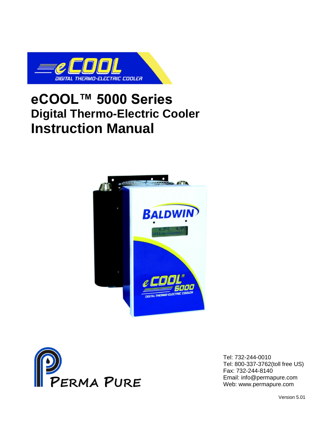

## **eCOOL™ 5000 Series Digital Thermo-Electric Cooler Instruction Manual**





Tel: 732-244-0010 Tel: 800-337-3762(toll free US) Fax: 732-244-8140 Email: info@permapure.com Web: www.permapure.com

Version 5.01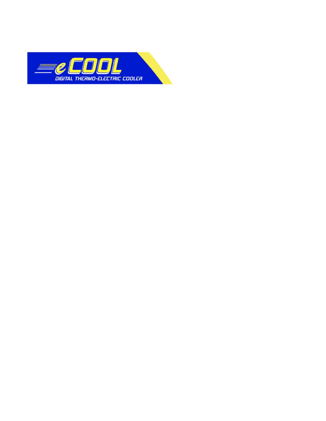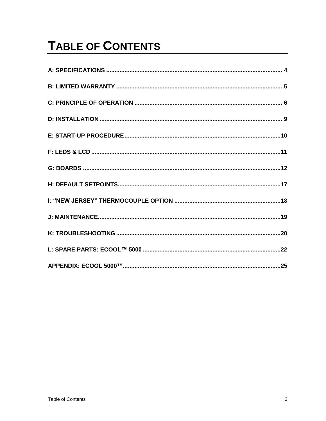# **TABLE OF CONTENTS**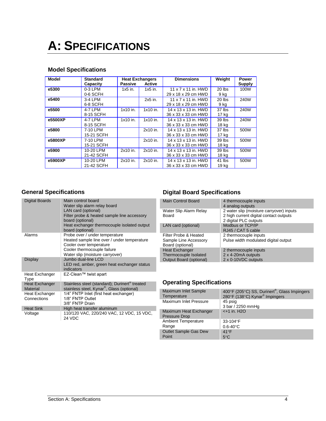## <span id="page-3-0"></span>**A: SPECIFICATIONS**

### **Model Specifications**

| <b>Model</b> | <b>Standard</b> |            | <b>Heat Exchangers</b> | <b>Dimensions</b>    | Weight   | Power         |
|--------------|-----------------|------------|------------------------|----------------------|----------|---------------|
|              | Capacity        | Passive    | <b>Active</b>          |                      |          | <b>Supply</b> |
| e5300        | $0-3$ LPM       | $1x5$ in.  | $1x5$ in.              | 11 x 7 x 11 in, HWD  | $20$ lbs | 100W          |
|              | 0-6 SCFH        |            |                        | 29 x 18 x 29 cm HWD  | 9 kg     |               |
| e5400        | 3-4 LPM         |            | 2x5 in.                | 11 x 7 x 11 in. HWD  | $20$ lbs | 240W          |
|              | 6-8 SCFH        |            |                        | 29 x 18 x 29 cm HWD  | 9 kg     |               |
| e5500        | 4-7 LPM         | $1x10$ in. | $1x10$ in.             | 14 x 13 x 13 in. HWD | 37 lbs   | 240W          |
|              | 8-15 SCFH       |            |                        | 36 x 33 x 33 cm HWD  | 17 kg    |               |
| e5500XP      | 4-7 LPM         | $1x10$ in. | $1x10$ in.             | 14 x 13 x 13 in. HWD | $39$ lbs | 240W          |
|              | 8-15 SCFH       |            |                        | 36 x 33 x 33 cm HWD  | 18 kg    |               |
| e5800        | 7-10 LPM        |            | 2x10 in.               | 14 x 13 x 13 in. HWD | 37 lbs   | 500W          |
|              | 15-21 SCFH      |            |                        | 36 x 33 x 33 cm HWD  | 17 kg    |               |
| e5800XP      | 7-10 LPM        |            | $2x10$ in.             | 14 x 13 x 13 in. HWD | $39$ lbs | 500W          |
|              | 15-21 SCFH      |            |                        | 36 x 33 x 33 cm HWD  | 18 kg    |               |
| e5900        | 10-20 LPM       | 2x10 in.   | 2x10 in.               | 14 x 13 x 13 in. HWD | 39 lbs   | 500W          |
|              | 21-42 SCFH      |            |                        | 36 x 33 x 33 cm HWD  | 18 kg    |               |
| e5900XP      | 10-20 LPM       | 2x10 in.   | $2x10$ in.             | 14 x 13 x 13 in. HWD | 41 lbs   | 500W          |
|              | 21-42 SCFH      |            |                        | 36 x 33 x 33 cm HWD  | 19 kg    |               |

## **General Specifications**

| Digital Boards                | Main control board<br>Water slip alarm relay board<br>LAN card (optional)<br>Filter probe & heated sample line accessory<br>board (optional)<br>Heat exchanger thermocouple isolated output<br>board (optional) |
|-------------------------------|-----------------------------------------------------------------------------------------------------------------------------------------------------------------------------------------------------------------|
| Alarms                        | Probe over / under temperature<br>Heated sample line over / under temperature<br>Cooler over temperature<br>Cooler thermocouple failure<br>Water slip (moisture carryover)                                      |
| Display                       | Jumbo dual-line LCD<br>LED red, amber, green heat exchanger status<br>indicators                                                                                                                                |
| Heat Exchanger<br>Type        | EZ-Clean™ twist apart                                                                                                                                                                                           |
| Heat Exchanger<br>Material    | Stainless steel (standard); Durinert® treated<br>stainless steel, Kynar <sup>®</sup> , Glass (optional)                                                                                                         |
| Heat Exchanger<br>Connections | 1/4" FNTP Inlet (first heat exchanger)<br>1/8" FNTP Outlet<br>3/8" FNTP Drain                                                                                                                                   |
| <b>Heat Sink</b>              | High heat transfer aluminum                                                                                                                                                                                     |
| Voltage                       | 110/120 VAC, 220/240 VAC, 12 VDC, 15 VDC,<br>24 VDC                                                                                                                                                             |

## **Digital Board Specifications**

| <b>Main Control Board</b>                                                        | 4 thermocouple inputs<br>4 analog outputs                                                                   |
|----------------------------------------------------------------------------------|-------------------------------------------------------------------------------------------------------------|
| Water Slip Alarm Relay<br>Board                                                  | 2 water slip (moisture carryover) inputs<br>2 high current digital contact outputs<br>2 digital PLC outputs |
| LAN card (optional)                                                              | Modbus or TCP/IP<br>RJ45 / CAT 5 cable                                                                      |
| Filter Probe & Heated<br>Sample Line Accessory<br>Board (optional)               | 2 thermocouple inputs<br>Pulse width modulated digital output                                               |
| <b>Heat Exchanger</b><br>Thermocouple Isolated<br><b>Output Board (optional)</b> | 2 thermocouple inputs<br>2 x 4-20mA outputs<br>2 x 0-10VDC outputs                                          |

## **Operating Specifications**

| Maximum Inlet Sample<br>Temperature            | 400°F (205°C) SS, Durinert®, Glass Impingers<br>280°F (138°C) Kynar <sup>®</sup> Impingers |
|------------------------------------------------|--------------------------------------------------------------------------------------------|
| Maximum Inlet Pressure                         | 45 psig<br>3 bar / 2250 mmHg                                                               |
| Maximum Heat Exchanger<br><b>Pressure Drop</b> | $< +1$ in. H <sub>2O</sub>                                                                 |
| <b>Ambient Temperature</b>                     | 33-104°F                                                                                   |
| Range                                          | $0.6 - 40^{\circ}C$                                                                        |
| <b>Outlet Sample Gas Dew</b>                   | $41^{\circ}F$                                                                              |
| Point                                          | $5^{\circ}$ C                                                                              |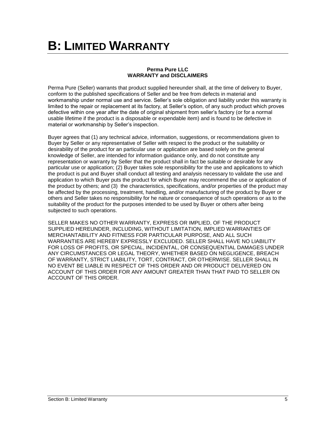# <span id="page-4-0"></span>**B: LIMITED WARRANTY**

#### **Perma Pure LLC WARRANTY and DISCLAIMERS**

Perma Pure (Seller) warrants that product supplied hereunder shall, at the time of delivery to Buyer, conform to the published specifications of Seller and be free from defects in material and workmanship under normal use and service. Seller's sole obligation and liability under this warranty is limited to the repair or replacement at its factory, at Seller's option, of any such product which proves defective within one year after the date of original shipment from seller's factory (or for a normal usable lifetime if the product is a disposable or expendable item) and is found to be defective in material or workmanship by Seller's inspection.

Buyer agrees that (1) any technical advice, information, suggestions, or recommendations given to Buyer by Seller or any representative of Seller with respect to the product or the suitability or desirability of the product for an particular use or application are based solely on the general knowledge of Seller, are intended for information guidance only, and do not constitute any representation or warranty by Seller that the product shall in fact be suitable or desirable for any particular use or application; (2) Buyer takes sole responsibility for the use and applications to which the product is put and Buyer shall conduct all testing and analysis necessary to validate the use and application to which Buyer puts the product for which Buyer may recommend the use or application of the product by others; and (3) the characteristics, specifications, and/or properties of the product may be affected by the processing, treatment, handling, and/or manufacturing of the product by Buyer or others and Seller takes no responsibility for he nature or consequence of such operations or as to the suitability of the product for the purposes intended to be used by Buyer or others after being subjected to such operations.

SELLER MAKES NO OTHER WARRANTY, EXPRESS OR IMPLIED, OF THE PRODUCT SUPPLIED HEREUNDER, INCLUDING, WITHOUT LIMITATION, IMPLIED WARRANTIES OF MERCHANTABILITY AND FITNESS FOR PARTICULAR PURPOSE, AND ALL SUCH WARRANTIES ARE HEREBY EXPRESSLY EXCLUDED. SELLER SHALL HAVE NO LIABILITY FOR LOSS OF PROFITS, OR SPECIAL, INCIDENTAL, OR CONSEQUENTIAL DAMAGES UNDER ANY CIRCUMSTANCES OR LEGAL THEORY, WHETHER BASED ON NEGLIGENCE, BREACH OF WARRANTY, STRICT LIABILITY, TORT, CONTRACT, OR OTHERWISE. SELLER SHALL IN NO EVENT BE LIABLE IN RESPECT OF THIS ORDER AND OR PRODUCT DELIVERED ON ACCOUNT OF THIS ORDER FOR ANY AMOUNT GREATER THAN THAT PAID TO SELLER ON ACCOUNT OF THIS ORDER.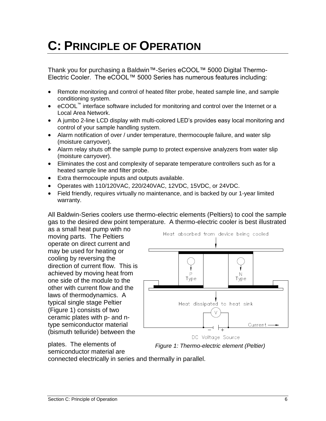## <span id="page-5-0"></span>**C: PRINCIPLE OF OPERATION**

Thank you for purchasing a Baldwin™-Series eCOOL™ 5000 Digital Thermo-Electric Cooler. The eCOOL™ 5000 Series has numerous features including:

- Remote monitoring and control of heated filter probe, heated sample line, and sample conditioning system.
- eCOOL™ interface software included for monitoring and control over the Internet or a Local Area Network.
- A jumbo 2-line LCD display with multi-colored LED's provides easy local monitoring and control of your sample handling system.
- Alarm notification of over / under temperature, thermocouple failure, and water slip (moisture carryover).
- Alarm relay shuts off the sample pump to protect expensive analyzers from water slip (moisture carryover).
- Eliminates the cost and complexity of separate temperature controllers such as for a heated sample line and filter probe.
- Extra thermocouple inputs and outputs available.
- Operates with 110/120VAC, 220/240VAC, 12VDC, 15VDC, or 24VDC.
- Field friendly, requires virtually no maintenance, and is backed by our 1-year limited warranty.

All Baldwin-Series coolers use thermo-electric elements (Peltiers) to cool the sample gas to the desired dew point temperature. A thermo-electric cooler is best illustrated

as a small heat pump with no moving parts. The Peltiers operate on direct current and may be used for heating or cooling by reversing the direction of current flow. This is achieved by moving heat from one side of the module to the other with current flow and the laws of thermodynamics. A typical single stage Peltier (Figure 1) consists of two ceramic plates with p- and ntype semiconductor material (bismuth telluride) between the



DC Voltage Source *Figure 1: Thermo-electric element (Peltier)*

plates. The elements of semiconductor material are

connected electrically in series and thermally in parallel.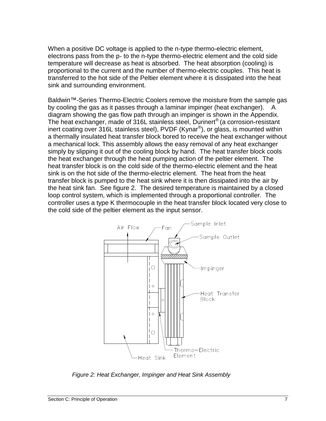When a positive DC voltage is applied to the n-type thermo-electric element, electrons pass from the p- to the n-type thermo-electric element and the cold side temperature will decrease as heat is absorbed. The heat absorption (cooling) is proportional to the current and the number of thermo-electric couples. This heat is transferred to the hot side of the Peltier element where it is dissipated into the heat sink and surrounding environment.

Baldwin™-Series Thermo-Electric Coolers remove the moisture from the sample gas by cooling the gas as it passes through a laminar impinger (heat exchanger). A diagram showing the gas flow path through an impinger is shown in the Appendix. The heat exchanger, made of 316L stainless steel, Durinert<sup>®</sup> (a corrosion-resistant inert coating over 316L stainless steel), PVDF (Kynar®), or glass, is mounted within a thermally insulated heat transfer block bored to receive the heat exchanger without a mechanical lock. This assembly allows the easy removal of any heat exchanger simply by slipping it out of the cooling block by hand. The heat transfer block cools the heat exchanger through the heat pumping action of the peltier element. The heat transfer block is on the cold side of the thermo-electric element and the heat sink is on the hot side of the thermo-electric element. The heat from the heat transfer block is pumped to the heat sink where it is then dissipated into the air by the heat sink fan. See figure 2. The desired temperature is maintained by a closed loop control system, which is implemented through a proportional controller. The controller uses a type K thermocouple in the heat transfer block located very close to the cold side of the peltier element as the input sensor.



*Figure 2: Heat Exchanger, Impinger and Heat Sink Assembly*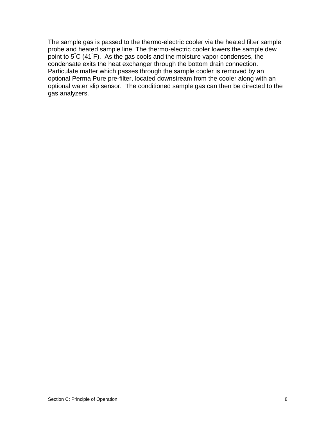The sample gas is passed to the thermo-electric cooler via the heated filter sample probe and heated sample line. The thermo-electric cooler lowers the sample dew point to 5°C (41° F). As the gas cools and the moisture vapor condenses, the condensate exits the heat exchanger through the bottom drain connection. Particulate matter which passes through the sample cooler is removed by an optional Perma Pure pre-filter, located downstream from the cooler along with an optional water slip sensor. The conditioned sample gas can then be directed to the gas analyzers.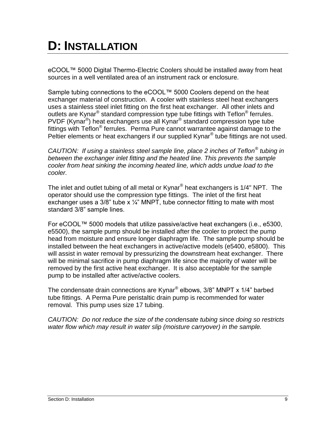## <span id="page-8-0"></span>**D: INSTALLATION**

eCOOL™ 5000 Digital Thermo-Electric Coolers should be installed away from heat sources in a well ventilated area of an instrument rack or enclosure.

Sample tubing connections to the eCOOL™ 5000 Coolers depend on the heat exchanger material of construction. A cooler with stainless steel heat exchangers uses a stainless steel inlet fitting on the first heat exchanger. All other inlets and outlets are Kynar<sup>®</sup> standard compression type tube fittings with Teflon<sup>®</sup> ferrules. PVDF (Kynar<sup>®</sup>) heat exchangers use all Kynar<sup>®</sup> standard compression type tube fittings with Teflon<sup>®</sup> ferrules. Perma Pure cannot warrantee against damage to the Peltier elements or heat exchangers if our supplied Kynar® tube fittings are not used.

*CAUTION: If using a stainless steel sample line, place 2 inches of Teflon® tubing in between the exchanger inlet fitting and the heated line. This prevents the sample cooler from heat sinking the incoming heated line, which adds undue load to the cooler.*

The inlet and outlet tubing of all metal or Kynar® heat exchangers is 1/4" NPT. The operator should use the compression type fittings. The inlet of the first heat exchanger uses a  $3/8$ " tube x  $\frac{1}{4}$ " MNPT, tube connector fitting to mate with most standard 3/8" sample lines.

For eCOOL™ 5000 models that utilize passive/active heat exchangers (i.e., e5300, e5500), the sample pump should be installed after the cooler to protect the pump head from moisture and ensure longer diaphragm life. The sample pump should be installed between the heat exchangers in active/active models (e5400, e5800). This will assist in water removal by pressurizing the downstream heat exchanger. There will be minimal sacrifice in pump diaphragm life since the majority of water will be removed by the first active heat exchanger. It is also acceptable for the sample pump to be installed after active/active coolers.

The condensate drain connections are Kynar® elbows, 3/8" MNPT x 1/4" barbed tube fittings. A Perma Pure peristaltic drain pump is recommended for water removal. This pump uses size 17 tubing.

*CAUTION: Do not reduce the size of the condensate tubing since doing so restricts water flow which may result in water slip (moisture carryover) in the sample.*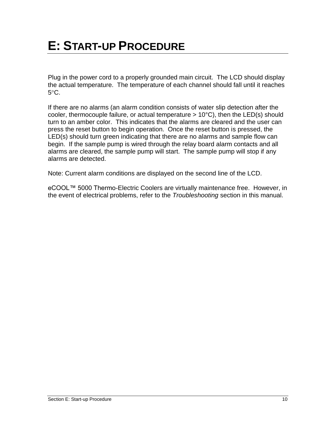<span id="page-9-0"></span>Plug in the power cord to a properly grounded main circuit. The LCD should display the actual temperature. The temperature of each channel should fall until it reaches  $5^{\circ}$ C.

If there are no alarms (an alarm condition consists of water slip detection after the cooler, thermocouple failure, or actual temperature  $> 10^{\circ}$ C), then the LED(s) should turn to an amber color. This indicates that the alarms are cleared and the user can press the reset button to begin operation. Once the reset button is pressed, the LED(s) should turn green indicating that there are no alarms and sample flow can begin. If the sample pump is wired through the relay board alarm contacts and all alarms are cleared, the sample pump will start. The sample pump will stop if any alarms are detected.

Note: Current alarm conditions are displayed on the second line of the LCD.

eCOOL™ 5000 Thermo-Electric Coolers are virtually maintenance free. However, in the event of electrical problems, refer to the *Troubleshooting* section in this manual.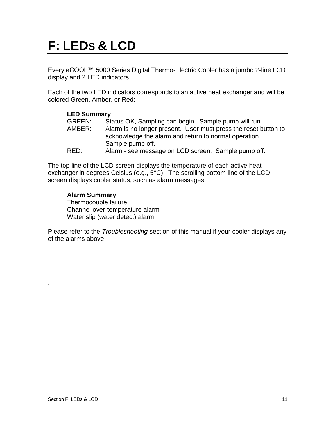# <span id="page-10-0"></span>**F: LEDS & LCD**

Every eCOOL™ 5000 Series Digital Thermo-Electric Cooler has a jumbo 2-line LCD display and 2 LED indicators.

Each of the two LED indicators corresponds to an active heat exchanger and will be colored Green, Amber, or Red:

| <b>LED Summary</b> |                                                                                                                                              |
|--------------------|----------------------------------------------------------------------------------------------------------------------------------------------|
| <b>GREEN:</b>      | Status OK, Sampling can begin. Sample pump will run.                                                                                         |
| AMBER:             | Alarm is no longer present. User must press the reset button to<br>acknowledge the alarm and return to normal operation.<br>Sample pump off. |
| RED:               | Alarm - see message on LCD screen. Sample pump off.                                                                                          |

The top line of the LCD screen displays the temperature of each active heat exchanger in degrees Celsius (e.g., 5°C). The scrolling bottom line of the LCD screen displays cooler status, such as alarm messages.

### **Alarm Summary**

Thermocouple failure Channel over-temperature alarm Water slip (water detect) alarm

Please refer to the *Troubleshooting* section of this manual if your cooler displays any of the alarms above.

.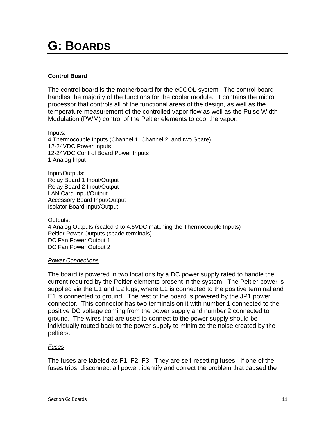## <span id="page-11-0"></span>**G: BOARDS**

### **Control Board**

The control board is the motherboard for the eCOOL system. The control board handles the majority of the functions for the cooler module. It contains the micro processor that controls all of the functional areas of the design, as well as the temperature measurement of the controlled vapor flow as well as the Pulse Width Modulation (PWM) control of the Peltier elements to cool the vapor.

Inputs: 4 Thermocouple Inputs (Channel 1, Channel 2, and two Spare) 12-24VDC Power Inputs 12-24VDC Control Board Power Inputs 1 Analog Input

Input/Outputs: Relay Board 1 Input/Output Relay Board 2 Input/Output LAN Card Input/Output Accessory Board Input/Output Isolator Board Input/Output

Outputs: 4 Analog Outputs (scaled 0 to 4.5VDC matching the Thermocouple Inputs) Peltier Power Outputs (spade terminals) DC Fan Power Output 1 DC Fan Power Output 2

### *Power Connections*

The board is powered in two locations by a DC power supply rated to handle the current required by the Peltier elements present in the system. The Peltier power is supplied via the E1 and E2 lugs, where E2 is connected to the positive terminal and E1 is connected to ground. The rest of the board is powered by the JP1 power connector. This connector has two terminals on it with number 1 connected to the positive DC voltage coming from the power supply and number 2 connected to ground. The wires that are used to connect to the power supply should be individually routed back to the power supply to minimize the noise created by the peltiers.

### *Fuses*

The fuses are labeled as F1, F2, F3. They are self-resetting fuses. If one of the fuses trips, disconnect all power, identify and correct the problem that caused the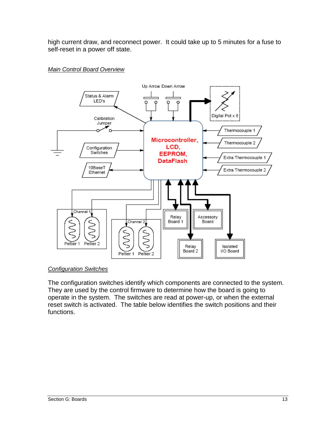high current draw, and reconnect power. It could take up to 5 minutes for a fuse to self-reset in a power off state.





### *Configuration Switches*

The configuration switches identify which components are connected to the system. They are used by the control firmware to determine how the board is going to operate in the system. The switches are read at power-up, or when the external reset switch is activated. The table below identifies the switch positions and their functions.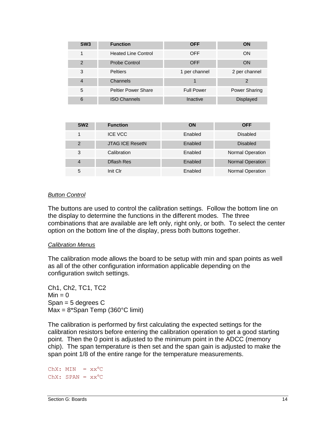| SW <sub>3</sub> | <b>Function</b>            | <b>OFF</b>        | <b>ON</b>            |
|-----------------|----------------------------|-------------------|----------------------|
| 1               | <b>Heated Line Control</b> | <b>OFF</b>        | <b>ON</b>            |
| $\overline{2}$  | Probe Control              | <b>OFF</b>        | <b>ON</b>            |
| 3               | <b>Peltiers</b>            | 1 per channel     | 2 per channel        |
| $\overline{4}$  | Channels                   |                   | 2                    |
| 5               | <b>Peltier Power Share</b> | <b>Full Power</b> | <b>Power Sharing</b> |
| 6               | <b>ISO Channels</b>        | Inactive          | <b>Displayed</b>     |

| SW <sub>2</sub> | <b>Function</b>        | ON      | <b>OFF</b>              |
|-----------------|------------------------|---------|-------------------------|
|                 | <b>ICE VCC</b>         | Enabled | Disabled                |
| $\mathcal{P}$   | <b>JTAG ICE ResetN</b> | Enabled | <b>Disabled</b>         |
| 3               | Calibration            | Enabled | <b>Normal Operation</b> |
| $\overline{4}$  | <b>Dflash Res</b>      | Enabled | <b>Normal Operation</b> |
| 5               | Init Clr               | Enabled | <b>Normal Operation</b> |

#### *Button Control*

The buttons are used to control the calibration settings. Follow the bottom line on the display to determine the functions in the different modes. The three combinations that are available are left only, right only, or both. To select the center option on the bottom line of the display, press both buttons together.

#### *Calibration Menus*

The calibration mode allows the board to be setup with min and span points as well as all of the other configuration information applicable depending on the configuration switch settings.

Ch1, Ch2, TC1, TC2  $Min = 0$ Span = 5 degrees C  $Max = 8*Span$  Temp (360°C limit)

The calibration is performed by first calculating the expected settings for the calibration resistors before entering the calibration operation to get a good starting point. Then the 0 point is adjusted to the minimum point in the ADCC (memory chip). The span temperature is then set and the span gain is adjusted to make the span point 1/8 of the entire range for the temperature measurements.

 $ChX: MIN = XX<sup>o</sup>C$  $ChX: SPAN = xx^{\circ}C$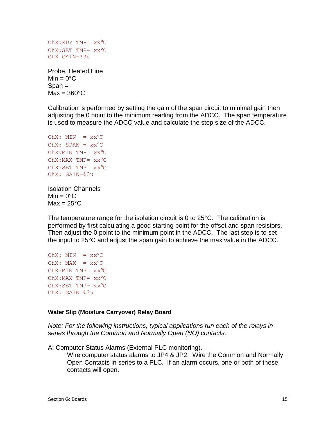```
ChX: RDY TMP= XX^{\circ}CChX:SET TMP= XX^{\circ}CChX GAIN=%3u
```
Probe, Heated Line  $Min = 0^{\circ}C$  $S$ pan  $=$  $Max = 360^{\circ}C$ 

Calibration is performed by setting the gain of the span circuit to minimal gain then adjusting the 0 point to the minimum reading from the ADCC. The span temperature is used to measure the ADCC value and calculate the step size of the ADCC.

```
ChX: MIN = xx<sup>o</sup>CChX: SPAN = xx^{\circ}CChX:MIN TMP= XX^{\circ}CChX:MAX TMP= XX^{\circ}CChX:SET TMP= XX^{\circ}CChX: GAIN=%3u
```
Isolation Channels  $Min = 0^{\circ}C$  $Max = 25^{\circ}C$ 

The temperature range for the isolation circuit is 0 to 25°C. The calibration is performed by first calculating a good starting point for the offset and span resistors. Then adjust the 0 point to the minimum point in the ADCC. The last step is to set the input to 25°C and adjust the span gain to achieve the max value in the ADCC.

```
ChX: MIN = XX<sup>o</sup>CChX: MAX = xx^{\circ}CChX:MIN TMP= XX^{\circ}CChX:MAX TMP= XX^{\circ}CChX:SET TMP= XX^{\circ}CChX: GAIN=%3u
```
### **Water Slip (Moisture Carryover) Relay Board**

*Note: For the following instructions, typical applications run each of the relays in series through the Common and Normally Open (NO) contacts.*

A: Computer Status Alarms (External PLC monitoring).

Wire computer status alarms to JP4 & JP2. Wire the Common and Normally Open Contacts in series to a PLC. If an alarm occurs, one or both of these contacts will open.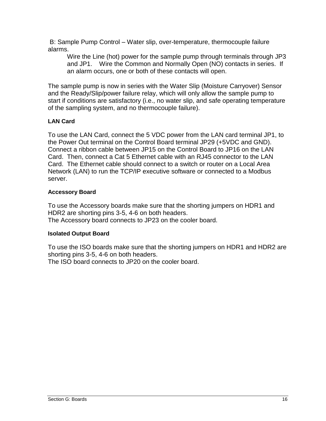B: Sample Pump Control – Water slip, over-temperature, thermocouple failure alarms.

Wire the Line (hot) power for the sample pump through terminals through JP3 and JP1. Wire the Common and Normally Open (NO) contacts in series. If an alarm occurs, one or both of these contacts will open.

The sample pump is now in series with the Water Slip (Moisture Carryover) Sensor and the Ready/Slip/power failure relay, which will only allow the sample pump to start if conditions are satisfactory (i.e., no water slip, and safe operating temperature of the sampling system, and no thermocouple failure).

## **LAN Card**

To use the LAN Card, connect the 5 VDC power from the LAN card terminal JP1, to the Power Out terminal on the Control Board terminal JP29 (+5VDC and GND). Connect a ribbon cable between JP15 on the Control Board to JP16 on the LAN Card. Then, connect a Cat 5 Ethernet cable with an RJ45 connector to the LAN Card. The Ethernet cable should connect to a switch or router on a Local Area Network (LAN) to run the TCP/IP executive software or connected to a Modbus server.

### **Accessory Board**

To use the Accessory boards make sure that the shorting jumpers on HDR1 and HDR2 are shorting pins 3-5, 4-6 on both headers. The Accessory board connects to JP23 on the cooler board.

### **Isolated Output Board**

To use the ISO boards make sure that the shorting jumpers on HDR1 and HDR2 are shorting pins 3-5, 4-6 on both headers.

The ISO board connects to JP20 on the cooler board.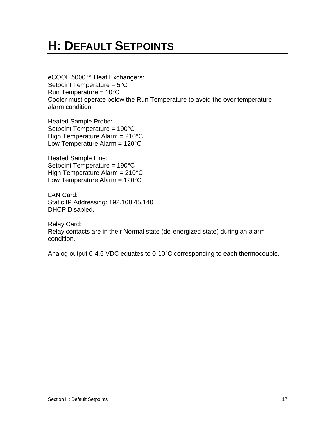## <span id="page-16-0"></span>**H: DEFAULT SETPOINTS**

eCOOL 5000™ Heat Exchangers: Setpoint Temperature = 5°C Run Temperature =  $10^{\circ}$ C Cooler must operate below the Run Temperature to avoid the over temperature alarm condition.

Heated Sample Probe: Setpoint Temperature = 190°C High Temperature Alarm = 210°C Low Temperature Alarm =  $120^{\circ}$ C

Heated Sample Line: Setpoint Temperature = 190°C High Temperature Alarm = 210°C Low Temperature Alarm =  $120^{\circ}$ C

LAN Card: Static IP Addressing: 192.168.45.140 DHCP Disabled.

Relay Card: Relay contacts are in their Normal state (de-energized state) during an alarm condition.

Analog output 0-4.5 VDC equates to 0-10°C corresponding to each thermocouple.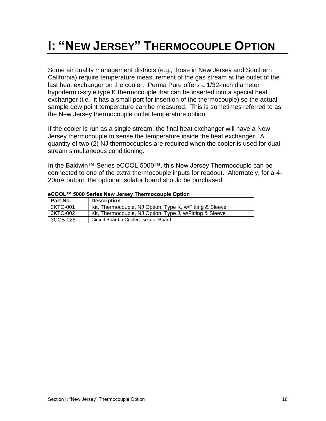## <span id="page-17-0"></span>**I: "NEW JERSEY" THERMOCOUPLE OPTION**

Some air quality management districts (e.g., those in New Jersey and Southern California) require temperature measurement of the gas stream at the outlet of the last heat exchanger on the cooler. Perma Pure offers a 1/32-inch diameter hypodermic-style type K thermocouple that can be inserted into a special heat exchanger (i.e., it has a small port for insertion of the thermocouple) so the actual sample dew point temperature can be measured. This is sometimes referred to as the New Jersey thermocouple outlet temperature option.

If the cooler is run as a single stream, the final heat exchanger will have a New Jersey thermocouple to sense the temperature inside the heat exchanger. A quantity of two (2) NJ thermocouples are required when the cooler is used for dualstream simultaneous conditioning.

In the Baldwin™-Series eCOOL 5000™, this New Jersey Thermocouple can be connected to one of the extra thermocouple inputs for readout. Alternately, for a 4- 20mA output, the optional isolator board should be purchased.

| l Part No. | <b>Description</b>                                       |
|------------|----------------------------------------------------------|
| 3KTC-001   | Kit, Thermocouple, NJ Option, Type K, w/Fitting & Sleeve |
| 3KTC-002   | Kit, Thermocouple, NJ Option, Type J, w/Fitting & Sleeve |
| 3CCB-026   | Circuit Board, eCooler, Isolator Board                   |

#### **eCOOL™ 5000 Series New Jersey Thermocouple Option**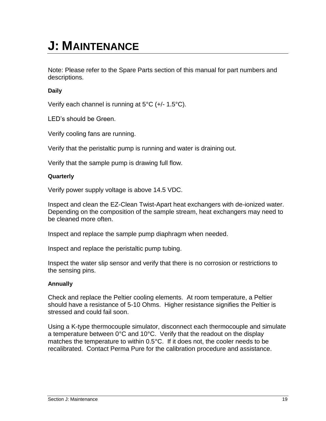## <span id="page-18-0"></span>**J: MAINTENANCE**

Note: Please refer to the Spare Parts section of this manual for part numbers and descriptions.

### **Daily**

Verify each channel is running at 5°C (+/- 1.5°C).

LED's should be Green.

Verify cooling fans are running.

Verify that the peristaltic pump is running and water is draining out.

Verify that the sample pump is drawing full flow.

### **Quarterly**

Verify power supply voltage is above 14.5 VDC.

Inspect and clean the EZ-Clean Twist-Apart heat exchangers with de-ionized water. Depending on the composition of the sample stream, heat exchangers may need to be cleaned more often.

Inspect and replace the sample pump diaphragm when needed.

Inspect and replace the peristaltic pump tubing.

Inspect the water slip sensor and verify that there is no corrosion or restrictions to the sensing pins.

### **Annually**

Check and replace the Peltier cooling elements. At room temperature, a Peltier should have a resistance of 5-10 Ohms. Higher resistance signifies the Peltier is stressed and could fail soon.

Using a K-type thermocouple simulator, disconnect each thermocouple and simulate a temperature between 0°C and 10°C. Verify that the readout on the display matches the temperature to within 0.5°C. If it does not, the cooler needs to be recalibrated. Contact Perma Pure for the calibration procedure and assistance.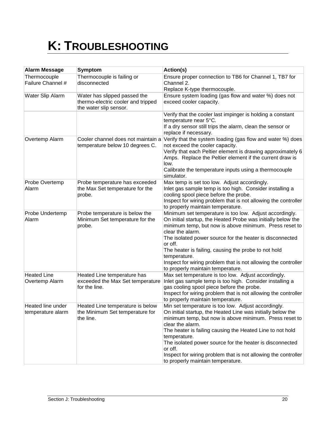# <span id="page-19-0"></span>**K: TROUBLESHOOTING**

| <b>Alarm Message</b>                   | Symptom                                                                                      | Action(s)                                                                                                                                                                                                                                                                                                                                                                                                                                                   |
|----------------------------------------|----------------------------------------------------------------------------------------------|-------------------------------------------------------------------------------------------------------------------------------------------------------------------------------------------------------------------------------------------------------------------------------------------------------------------------------------------------------------------------------------------------------------------------------------------------------------|
| Thermocouple<br>Failure Channel #      | Thermocouple is failing or<br>disconnected                                                   | Ensure proper connection to TB6 for Channel 1, TB7 for<br>Channel 2.<br>Replace K-type thermocouple.                                                                                                                                                                                                                                                                                                                                                        |
| Water Slip Alarm                       | Water has slipped passed the<br>thermo-electric cooler and tripped<br>the water slip sensor. | Ensure system loading (gas flow and water %) does not<br>exceed cooler capacity.                                                                                                                                                                                                                                                                                                                                                                            |
|                                        |                                                                                              | Verify that the cooler last impinger is holding a constant<br>temperature near 5°C.<br>If a dry sensor still trips the alarm, clean the sensor or<br>replace if necessary.                                                                                                                                                                                                                                                                                  |
| Overtemp Alarm                         | Cooler channel does not maintain a<br>temperature below 10 degrees C.                        | Verify that the system loading (gas flow and water %) does<br>not exceed the cooler capacity.<br>Verify that each Peltier element is drawing approximately 6<br>Amps. Replace the Peltier element if the current draw is<br>low.<br>Calibrate the temperature inputs using a thermocouple<br>simulator.                                                                                                                                                     |
| Probe Overtemp<br>Alarm                | Probe temperature has exceeded<br>the Max Set temperature for the<br>probe.                  | Max temp is set too low. Adjust accordingly.<br>Inlet gas sample temp is too high. Consider installing a<br>cooling spool piece before the probe.<br>Inspect for wiring problem that is not allowing the controller<br>to properly maintain temperature.                                                                                                                                                                                                    |
| Probe Undertemp<br>Alarm               | Probe temperature is below the<br>Minimum Set temperature for the<br>probe.                  | Minimum set temperature is too low. Adjust accordingly.<br>On initial startup, the Heated Probe was initially below the<br>minimum temp, but now is above minimum. Press reset to<br>clear the alarm.<br>The isolated power source for the heater is disconnected<br>or off.<br>The heater is failing, causing the probe to not hold<br>temperature.<br>Inspect for wiring problem that is not allowing the controller<br>to properly maintain temperature. |
| <b>Heated Line</b><br>Overtemp Alarm   | Heated Line temperature has<br>exceeded the Max Set temperature<br>for the line.             | Max set temperature is too low. Adjust accordingly.<br>Inlet gas sample temp is too high. Consider installing a<br>gas cooling spool piece before the probe.<br>Inspect for wiring problem that is not allowing the controller<br>to properly maintain temperature.                                                                                                                                                                                         |
| Heated line under<br>temperature alarm | Heated Line temperature is below<br>the Minimum Set temperature for<br>the line.             | Min set temperature is too low. Adjust accordingly.<br>On initial startup, the Heated Line was initially below the<br>minimum temp, but now is above minimum. Press reset to<br>clear the alarm.<br>The heater is failing causing the Heated Line to not hold<br>temperature.<br>The isolated power source for the heater is disconnected<br>or off.<br>Inspect for wiring problem that is not allowing the controller<br>to properly maintain temperature. |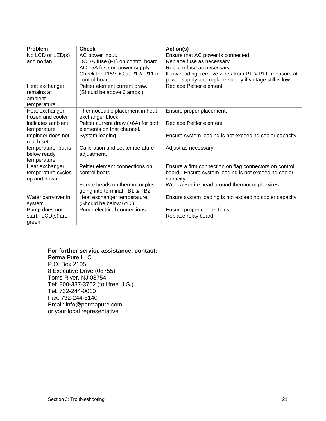| <b>Problem</b>      | <b>Check</b>                        | Action(s)                                                |
|---------------------|-------------------------------------|----------------------------------------------------------|
| No LCD or LED(s)    | AC power input.                     | Ensure that AC power is connected.                       |
| and no fan.         | DC 3A fuse (F1) on control board.   | Replace fuse as necessary.                               |
|                     | AC 15A fuse on power supply.        | Replace fuse as necessary.                               |
|                     | Check for +15VDC at P1 & P11 of     | If low reading, remove wires from P1 & P11, measure at   |
|                     | control board.                      | power supply and replace supply if voltage still is low. |
| Heat exchanger      | Peltier element current draw.       | Replace Peltier element.                                 |
| remains at          | (Should be above 6 amps.)           |                                                          |
| ambient             |                                     |                                                          |
| temperature.        |                                     |                                                          |
| Heat exchanger      | Thermocouple placement in heat      | Ensure proper placement.                                 |
| frozen and cooler   | exchanger block.                    |                                                          |
| indicates ambient   | Peltier current draw (>6A) for both | Replace Peltier element.                                 |
| temperature.        | elements on that channel.           |                                                          |
| Impinger does not   | System loading.                     | Ensure system loading is not exceeding cooler capacity.  |
| reach set           |                                     |                                                          |
| temperature, but is | Calibration and set temperature     | Adjust as necessary.                                     |
| below ready         | adjustment.                         |                                                          |
| temperature.        |                                     |                                                          |
| Heat exchanger      | Peltier element connections on      | Ensure a firm connection on flag connectors on control   |
| temperature cycles  | control board.                      | board. Ensure system loading is not exceeding cooler     |
| up and down.        |                                     | capacity.                                                |
|                     | Ferrite beads on thermocouples      | Wrap a Ferrite bead around thermocouple wires.           |
|                     | going into terminal TB1 & TB2       |                                                          |
| Water carryover in  | Heat exchanger temperature.         | Ensure system loading is not exceeding cooler capacity.  |
| system.             | (Should be below 6°C.)              |                                                          |
| Pump does not       | Pump electrical connections.        | Ensure proper connections.                               |
| start. LCD(s) are   |                                     | Replace relay board.                                     |
| green.              |                                     |                                                          |

### **For further service assistance, contact:**

Perma Pure LLC P.O. Box 2105 8 Executive Drive (08755) Toms River, NJ 08754 Tel: 800-337-3762 (toll free U.S.) Tel: 732-244-0010 Fax: 732-244-8140 Email: info@permapure.com or your local representative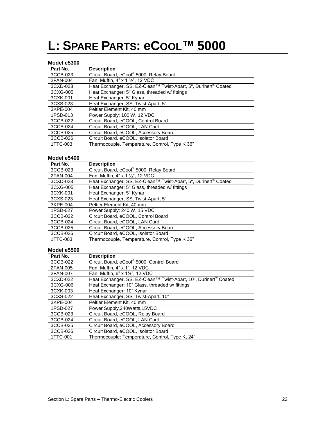## <span id="page-21-0"></span>**L: SPARE PARTS: eCOOL™ 5000**

### **Model e5300**

| Part No. | <b>Description</b>                                                          |
|----------|-----------------------------------------------------------------------------|
| 3CCB-023 | Circuit Board, eCool® 5000, Relay Board                                     |
| 2FAN-004 | Fan: Muffin, 4" x 1 1/2", 12 VDC                                            |
| 3CXD-023 | Heat Exchanger, SS, EZ-Clean™ Twist-Apart, 5", Durinert <sup>®</sup> Coated |
| 3CXG-005 | Heat Exchanger: 5" Glass, threaded w/ fittings                              |
| 3CXK-001 | Heat Exchanger: 5" Kynar                                                    |
| 3CXS-023 | Heat Exchanger, SS, Twist-Apart, 5"                                         |
| 3KPE-004 | Peltier Element Kit, 40 mm                                                  |
| 1PSD-013 | Power Supply: 100 W, 12 VDC                                                 |
| 3CCB-022 | Circuit Board, eCOOL, Control Board                                         |
| 3CCB-024 | Circuit Board, eCOOL, LAN Card                                              |
| 3CCB-025 | Circuit Board, eCOOL, Accessory Board                                       |
| 3CCB-026 | Circuit Board, eCOOL, Isolator Board                                        |
| 1TTC-003 | Thermocouple, Temperature, Control, Type K 36"                              |

#### **Model e5400**

| Part No. | <b>Description</b>                                                          |
|----------|-----------------------------------------------------------------------------|
| 3CCB-023 | Circuit Board, eCool® 5000, Relay Board                                     |
| 2FAN-004 | Fan: Muffin, 4" x 1 1/2", 12 VDC                                            |
| 3CXD-023 | Heat Exchanger, SS, EZ-Clean™ Twist-Apart, 5", Durinert <sup>®</sup> Coated |
| 3CXG-005 | Heat Exchanger: 5" Glass, threaded w/ fittings                              |
| 3CXK-001 | Heat Exchanger: 5" Kynar                                                    |
| 3CXS-023 | Heat Exchanger, SS, Twist-Apart, 5"                                         |
| 3KPE-004 | Peltier Element Kit, 40 mm                                                  |
| 1PSD-027 | Power Supply: 240 W, 15 VDC                                                 |
| 3CCB-022 | Circuit Board, eCOOL, Control Board                                         |
| 3CCB-024 | Circuit Board, eCOOL, LAN Card                                              |
| 3CCB-025 | Circuit Board, eCOOL, Accessory Board                                       |
| 3CCB-026 | Circuit Board, eCOOL, Isolator Board                                        |
| 1TTC-003 | Thermocouple, Temperature, Control, Type K 36"                              |

#### **Model e5500**

| Part No. | <b>Description</b>                                                           |
|----------|------------------------------------------------------------------------------|
| 3CCB-022 | Circuit Board, eCool® 5000, Control Board                                    |
| 2FAN-005 | Fan: Muffin, 4" x 1", 12 VDC                                                 |
| 2FAN-007 | Fan: Muffin, 6" x 11/2", 12 VDC                                              |
| 3CXD-022 | Heat Exchanger, SS, EZ-Clean™ Twist-Apart, 10", Durinert <sup>®</sup> Coated |
| 3CXG-006 | Heat Exchanger: 10" Glass, threaded w/ fittings                              |
| 3CXK-003 | Heat Exchanger: 10" Kynar                                                    |
| 3CXS-022 | Heat Exchanger, SS, Twist-Apart, 10"                                         |
| 3KPE-004 | Peltier Element Kit, 40 mm                                                   |
| 1PSD-027 | Power Supply, 240 Watts, 15 VDC                                              |
| 3CCB-023 | Circuit Board, eCOOL, Relay Board                                            |
| 3CCB-024 | Circuit Board, eCOOL, LAN Card                                               |
| 3CCB-025 | Circuit Board, eCOOL, Accessory Board                                        |
| 3CCB-026 | Circuit Board, eCOOL, Isolator Board                                         |
| 1TTC-001 | Thermocouple: Temperature, Control, Type K, 24"                              |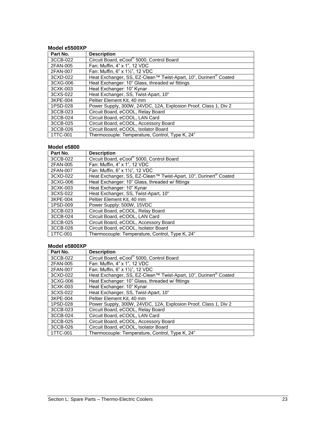#### **Model e5500XP**

| Part No. | <b>Description</b>                                                           |
|----------|------------------------------------------------------------------------------|
| 3CCB-022 | Circuit Board, eCool® 5000, Control Board                                    |
| 2FAN-005 | Fan: Muffin, 4" x 1", 12 VDC                                                 |
| 2FAN-007 | Fan: Muffin, 6" x 11/2", 12 VDC                                              |
| 3CXD-022 | Heat Exchanger, SS, EZ-Clean™ Twist-Apart, 10", Durinert <sup>®</sup> Coated |
| 3CXG-006 | Heat Exchanger: 10" Glass, threaded w/ fittings                              |
| 3CXK-003 | Heat Exchanger: 10" Kynar                                                    |
| 3CXS-022 | Heat Exchanger, SS, Twist-Apart, 10"                                         |
| 3KPE-004 | Peltier Element Kit. 40 mm                                                   |
| 1PSD-028 | Power Supply, 300W, 24VDC, 12A, Explosion Proof, Class 1, Div 2              |
| 3CCB-023 | Circuit Board, eCOOL, Relay Board                                            |
| 3CCB-024 | Circuit Board, eCOOL, LAN Card                                               |
| 3CCB-025 | Circuit Board, eCOOL, Accessory Board                                        |
| 3CCB-026 | Circuit Board, eCOOL, Isolator Board                                         |
| 1TTC-001 | Thermocouple: Temperature, Control, Type K, 24"                              |

#### **Model e5800**

| Part No. | <b>Description</b>                                                           |
|----------|------------------------------------------------------------------------------|
| 3CCB-022 | Circuit Board, eCool® 5000, Control Board                                    |
| 2FAN-005 | Fan: Muffin, 4" x 1", 12 VDC                                                 |
| 2FAN-007 | Fan: Muffin, 6" x 11/2", 12 VDC                                              |
| 3CXD-022 | Heat Exchanger, SS, EZ-Clean™ Twist-Apart, 10", Durinert <sup>®</sup> Coated |
| 3CXG-006 | Heat Exchanger: 10" Glass, threaded w/ fittings                              |
| 3CXK-003 | Heat Exchanger: 10" Kynar                                                    |
| 3CXS-022 | Heat Exchanger, SS, Twist-Apart, 10"                                         |
| 3KPE-004 | Peltier Element Kit, 40 mm                                                   |
| 1PSD-009 | Power Supply: 500W, 15VDC                                                    |
| 3CCB-023 | Circuit Board, eCOOL, Relay Board                                            |
| 3CCB-024 | Circuit Board, eCOOL, LAN Card                                               |
| 3CCB-025 | Circuit Board, eCOOL, Accessory Board                                        |
| 3CCB-026 | Circuit Board, eCOOL, Isolator Board                                         |
| 1TTC-001 | Thermocouple: Temperature, Control, Type K, 24"                              |

#### **Model e5800XP**

| Part No. | <b>Description</b>                                                           |
|----------|------------------------------------------------------------------------------|
| 3CCB-022 | Circuit Board, eCool® 5000, Control Board                                    |
| 2FAN-005 | Fan: Muffin, 4" x 1", 12 VDC                                                 |
| 2FAN-007 | Fan: Muffin, 6" x 11/2", 12 VDC                                              |
| 3CXD-022 | Heat Exchanger, SS, EZ-Clean™ Twist-Apart, 10", Durinert <sup>®</sup> Coated |
| 3CXG-006 | Heat Exchanger: 10" Glass, threaded w/ fittings                              |
| 3CXK-003 | Heat Exchanger: 10" Kynar                                                    |
| 3CXS-022 | Heat Exchanger, SS, Twist-Apart, 10"                                         |
| 3KPE-004 | Peltier Element Kit, 40 mm                                                   |
| 1PSD-028 | Power Supply, 300W, 24VDC, 12A, Explosion Proof, Class 1, Div 2              |
| 3CCB-023 | Circuit Board, eCOOL, Relay Board                                            |
| 3CCB-024 | Circuit Board, eCOOL, LAN Card                                               |
| 3CCB-025 | Circuit Board, eCOOL, Accessory Board                                        |
| 3CCB-026 | Circuit Board, eCOOL, Isolator Board                                         |
| 1TTC-001 | Thermocouple: Temperature, Control, Type K, 24"                              |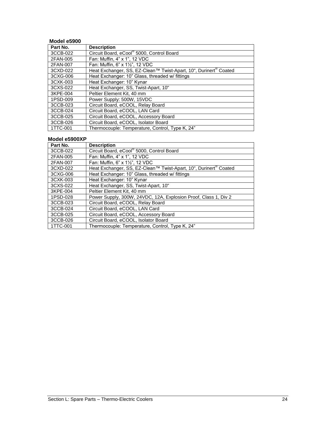#### **Model e5900**

| Part No. | <b>Description</b>                                                           |
|----------|------------------------------------------------------------------------------|
| 3CCB-022 | Circuit Board, eCool® 5000, Control Board                                    |
| 2FAN-005 | Fan: Muffin, 4" x 1", 12 VDC                                                 |
| 2FAN-007 | Fan: Muffin, 6" x 11/2", 12 VDC                                              |
| 3CXD-022 | Heat Exchanger, SS, EZ-Clean™ Twist-Apart, 10", Durinert <sup>®</sup> Coated |
| 3CXG-006 | Heat Exchanger: 10" Glass, threaded w/ fittings                              |
| 3CXK-003 | Heat Exchanger: 10" Kynar                                                    |
| 3CXS-022 | Heat Exchanger, SS, Twist-Apart, 10"                                         |
| 3KPE-004 | Peltier Element Kit, 40 mm                                                   |
| 1PSD-009 | Power Supply: 500W, 15VDC                                                    |
| 3CCB-023 | Circuit Board, eCOOL, Relay Board                                            |
| 3CCB-024 | Circuit Board, eCOOL, LAN Card                                               |
| 3CCB-025 | Circuit Board, eCOOL, Accessory Board                                        |
| 3CCB-026 | Circuit Board, eCOOL, Isolator Board                                         |
| 1TTC-001 | Thermocouple: Temperature, Control, Type K, 24"                              |

### **Model e5900XP**

| Part No. | <b>Description</b>                                                           |
|----------|------------------------------------------------------------------------------|
| 3CCB-022 | Circuit Board, eCool® 5000, Control Board                                    |
| 2FAN-005 | Fan: Muffin, 4" x 1", 12 VDC                                                 |
| 2FAN-007 | Fan: Muffin, 6" x 11/2", 12 VDC                                              |
| 3CXD-022 | Heat Exchanger, SS, EZ-Clean™ Twist-Apart, 10", Durinert <sup>®</sup> Coated |
| 3CXG-006 | Heat Exchanger: 10" Glass, threaded w/ fittings                              |
| 3CXK-003 | Heat Exchanger: 10" Kynar                                                    |
| 3CXS-022 | Heat Exchanger, SS, Twist-Apart, 10"                                         |
| 3KPE-004 | Peltier Element Kit. 40 mm                                                   |
| 1PSD-028 | Power Supply, 300W, 24VDC, 12A, Explosion Proof, Class 1, Div 2              |
| 3CCB-023 | Circuit Board, eCOOL, Relay Board                                            |
| 3CCB-024 | Circuit Board, eCOOL, LAN Card                                               |
| 3CCB-025 | Circuit Board, eCOOL, Accessory Board                                        |
| 3CCB-026 | Circuit Board, eCOOL, Isolator Board                                         |
| 1TTC-001 | Thermocouple: Temperature, Control, Type K, 24"                              |